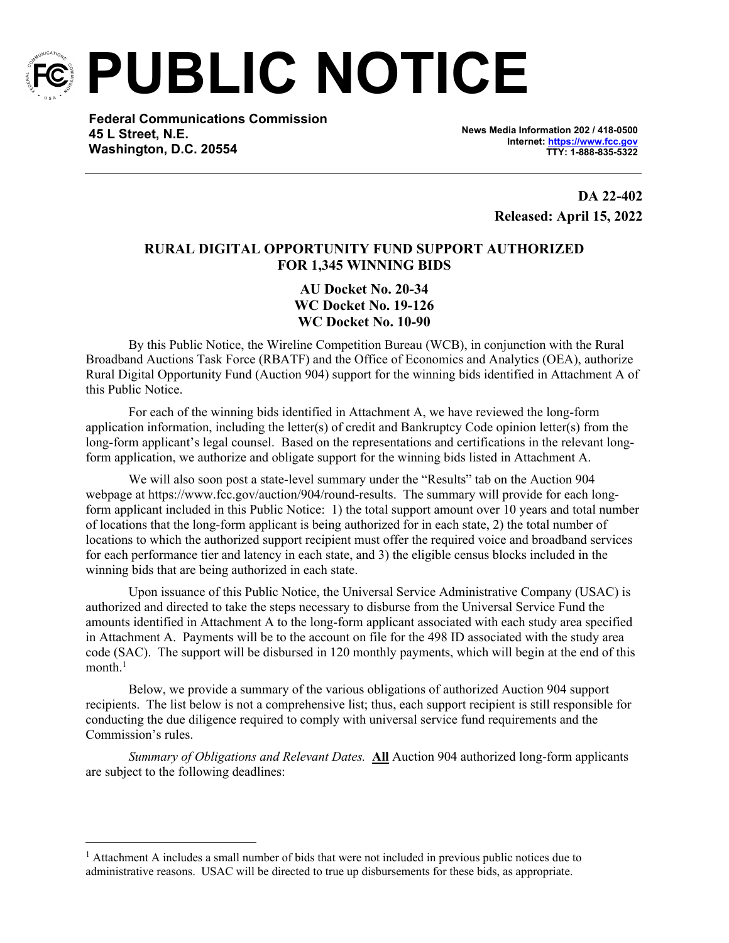

**PUBLIC NOTICE**

**Federal Communications Commission 45 L Street, N.E. Washington, D.C. 20554**

**News Media Information 202 / 418-0500 Internet:<https://www.fcc.gov> TTY: 1-888-835-5322**

> **DA 22-402 Released: April 15, 2022**

## **RURAL DIGITAL OPPORTUNITY FUND SUPPORT AUTHORIZED FOR 1,345 WINNING BIDS**

**AU Docket No. 20-34 WC Docket No. 19-126 WC Docket No. 10-90**

By this Public Notice, the Wireline Competition Bureau (WCB), in conjunction with the Rural Broadband Auctions Task Force (RBATF) and the Office of Economics and Analytics (OEA), authorize Rural Digital Opportunity Fund (Auction 904) support for the winning bids identified in Attachment A of this Public Notice.

For each of the winning bids identified in Attachment A, we have reviewed the long-form application information, including the letter(s) of credit and Bankruptcy Code opinion letter(s) from the long-form applicant's legal counsel. Based on the representations and certifications in the relevant longform application, we authorize and obligate support for the winning bids listed in Attachment A.

We will also soon post a state-level summary under the "Results" tab on the Auction 904 webpage at https://www.fcc.gov/auction/904/round-results. The summary will provide for each longform applicant included in this Public Notice: 1) the total support amount over 10 years and total number of locations that the long-form applicant is being authorized for in each state, 2) the total number of locations to which the authorized support recipient must offer the required voice and broadband services for each performance tier and latency in each state, and 3) the eligible census blocks included in the winning bids that are being authorized in each state.

Upon issuance of this Public Notice, the Universal Service Administrative Company (USAC) is authorized and directed to take the steps necessary to disburse from the Universal Service Fund the amounts identified in Attachment A to the long-form applicant associated with each study area specified in Attachment A. Payments will be to the account on file for the 498 ID associated with the study area code (SAC). The support will be disbursed in 120 monthly payments, which will begin at the end of this month.<sup>1</sup>

Below, we provide a summary of the various obligations of authorized Auction 904 support recipients. The list below is not a comprehensive list; thus, each support recipient is still responsible for conducting the due diligence required to comply with universal service fund requirements and the Commission's rules.

*Summary of Obligations and Relevant Dates.* **All** Auction 904 authorized long-form applicants are subject to the following deadlines:

<sup>&</sup>lt;sup>1</sup> Attachment A includes a small number of bids that were not included in previous public notices due to administrative reasons. USAC will be directed to true up disbursements for these bids, as appropriate.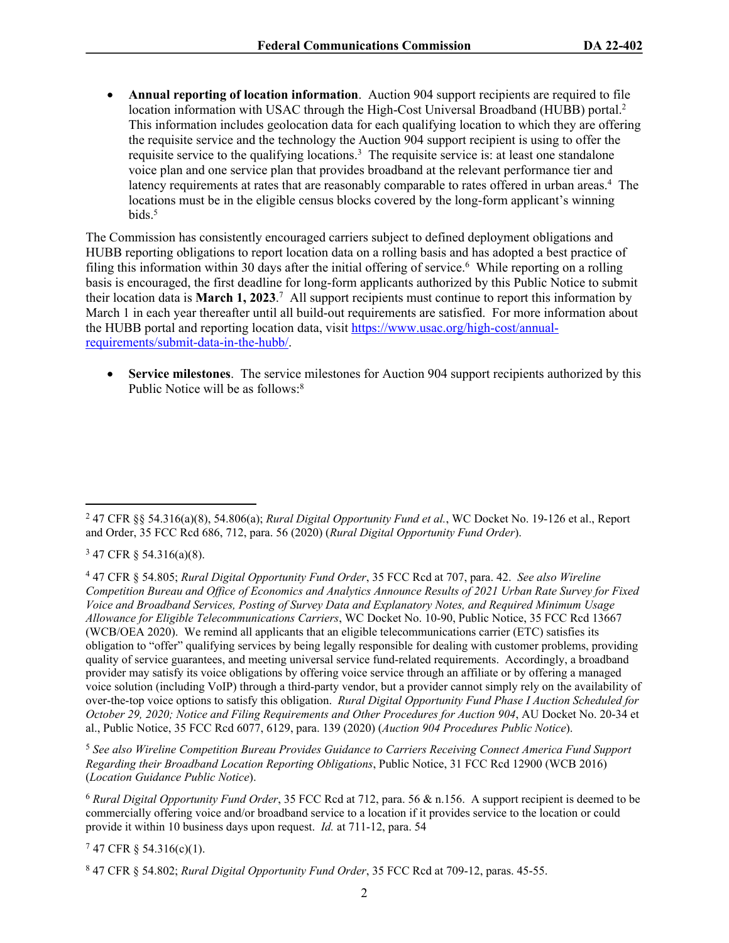**Annual reporting of location information**. Auction 904 support recipients are required to file location information with USAC through the High-Cost Universal Broadband (HUBB) portal.<sup>2</sup> This information includes geolocation data for each qualifying location to which they are offering the requisite service and the technology the Auction 904 support recipient is using to offer the requisite service to the qualifying locations.<sup>3</sup> The requisite service is: at least one standalone voice plan and one service plan that provides broadband at the relevant performance tier and latency requirements at rates that are reasonably comparable to rates offered in urban areas.<sup>4</sup> The locations must be in the eligible census blocks covered by the long-form applicant's winning bids.<sup>5</sup>

The Commission has consistently encouraged carriers subject to defined deployment obligations and HUBB reporting obligations to report location data on a rolling basis and has adopted a best practice of filing this information within 30 days after the initial offering of service.<sup>6</sup> While reporting on a rolling basis is encouraged, the first deadline for long-form applicants authorized by this Public Notice to submit their location data is **March 1, 2023**. 7 All support recipients must continue to report this information by March 1 in each year thereafter until all build-out requirements are satisfied. For more information about the HUBB portal and reporting location data, visit [https://www.usac.org/high-cost/annual](https://www.usac.org/high-cost/annual-requirements/submit-data-in-the-hubb/)[requirements/submit-data-in-the-hubb/](https://www.usac.org/high-cost/annual-requirements/submit-data-in-the-hubb/).

 **Service milestones**. The service milestones for Auction 904 support recipients authorized by this Public Notice will be as follows:<sup>8</sup>

 $347$  CFR § 54.316(a)(8).

<sup>5</sup> *See also Wireline Competition Bureau Provides Guidance to Carriers Receiving Connect America Fund Support Regarding their Broadband Location Reporting Obligations*, Public Notice, 31 FCC Rcd 12900 (WCB 2016) (*Location Guidance Public Notice*).

<sup>6</sup> *Rural Digital Opportunity Fund Order*, 35 FCC Rcd at 712, para. 56 & n.156. A support recipient is deemed to be commercially offering voice and/or broadband service to a location if it provides service to the location or could provide it within 10 business days upon request. *Id.* at 711-12, para. 54

 $747$  CFR § 54.316(c)(1).

<sup>2</sup> 47 CFR §§ 54.316(a)(8), 54.806(a); *Rural Digital Opportunity Fund et al.*, WC Docket No. 19-126 et al., Report and Order, 35 FCC Rcd 686, 712, para. 56 (2020) (*Rural Digital Opportunity Fund Order*).

<sup>4</sup> 47 CFR § 54.805; *Rural Digital Opportunity Fund Order*, 35 FCC Rcd at 707, para. 42. *See also Wireline Competition Bureau and Office of Economics and Analytics Announce Results of 2021 Urban Rate Survey for Fixed Voice and Broadband Services, Posting of Survey Data and Explanatory Notes, and Required Minimum Usage Allowance for Eligible Telecommunications Carriers*, WC Docket No. 10-90, Public Notice, 35 FCC Rcd 13667 (WCB/OEA 2020). We remind all applicants that an eligible telecommunications carrier (ETC) satisfies its obligation to "offer" qualifying services by being legally responsible for dealing with customer problems, providing quality of service guarantees, and meeting universal service fund-related requirements. Accordingly, a broadband provider may satisfy its voice obligations by offering voice service through an affiliate or by offering a managed voice solution (including VoIP) through a third-party vendor, but a provider cannot simply rely on the availability of over-the-top voice options to satisfy this obligation. *Rural Digital Opportunity Fund Phase I Auction Scheduled for October 29, 2020; Notice and Filing Requirements and Other Procedures for Auction 904*, AU Docket No. 20-34 et al., Public Notice, 35 FCC Rcd 6077, 6129, para. 139 (2020) (*Auction 904 Procedures Public Notice*).

<sup>8</sup> 47 CFR § 54.802; *Rural Digital Opportunity Fund Order*, 35 FCC Rcd at 709-12, paras. 45-55.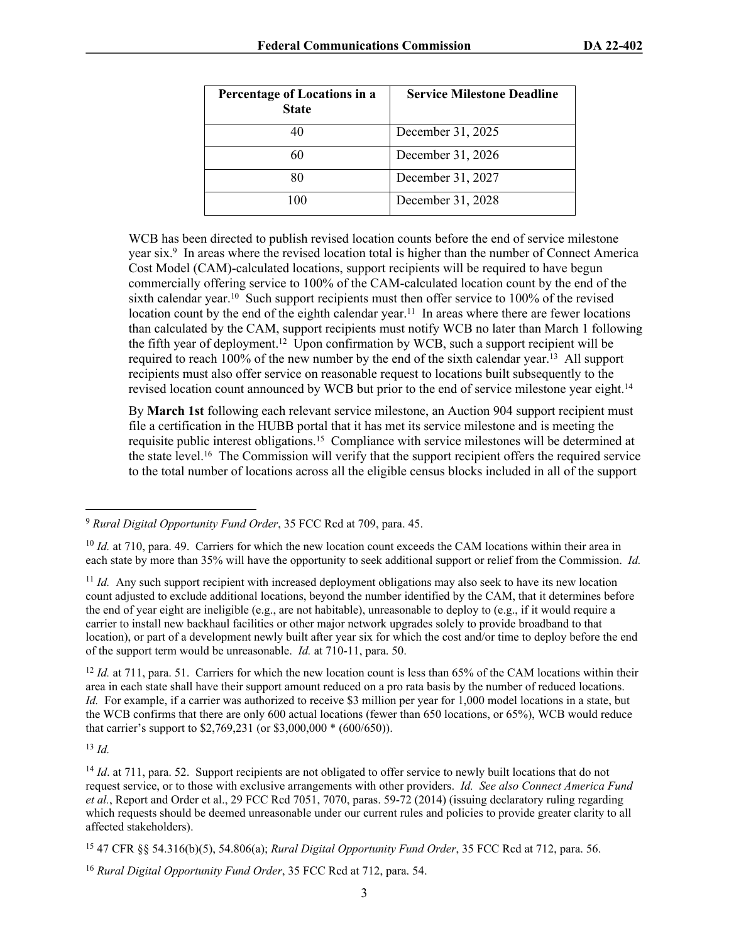| Percentage of Locations in a<br><b>State</b> | <b>Service Milestone Deadline</b> |
|----------------------------------------------|-----------------------------------|
|                                              | December 31, 2025                 |
|                                              | December 31, 2026                 |
|                                              | December 31, 2027                 |
| 100                                          | December 31, 2028                 |

WCB has been directed to publish revised location counts before the end of service milestone year six.<sup>9</sup> In areas where the revised location total is higher than the number of Connect America Cost Model (CAM)-calculated locations, support recipients will be required to have begun commercially offering service to 100% of the CAM-calculated location count by the end of the sixth calendar year.<sup>10</sup> Such support recipients must then offer service to 100% of the revised location count by the end of the eighth calendar year.<sup>11</sup> In areas where there are fewer locations than calculated by the CAM, support recipients must notify WCB no later than March 1 following the fifth year of deployment.<sup>12</sup> Upon confirmation by WCB, such a support recipient will be required to reach 100% of the new number by the end of the sixth calendar year.<sup>13</sup> All support recipients must also offer service on reasonable request to locations built subsequently to the revised location count announced by WCB but prior to the end of service milestone year eight.<sup>14</sup>

By **March 1st** following each relevant service milestone, an Auction 904 support recipient must file a certification in the HUBB portal that it has met its service milestone and is meeting the requisite public interest obligations.<sup>15</sup> Compliance with service milestones will be determined at the state level.<sup>16</sup> The Commission will verify that the support recipient offers the required service to the total number of locations across all the eligible census blocks included in all of the support

<sup>11</sup> *Id.* Any such support recipient with increased deployment obligations may also seek to have its new location count adjusted to exclude additional locations, beyond the number identified by the CAM, that it determines before the end of year eight are ineligible (e.g., are not habitable), unreasonable to deploy to (e.g., if it would require a carrier to install new backhaul facilities or other major network upgrades solely to provide broadband to that location), or part of a development newly built after year six for which the cost and/or time to deploy before the end of the support term would be unreasonable. *Id.* at 710-11, para. 50.

<sup>12</sup> *Id.* at 711, para. 51. Carriers for which the new location count is less than 65% of the CAM locations within their area in each state shall have their support amount reduced on a pro rata basis by the number of reduced locations. *Id.* For example, if a carrier was authorized to receive \$3 million per year for 1,000 model locations in a state, but the WCB confirms that there are only 600 actual locations (fewer than 650 locations, or 65%), WCB would reduce that carrier's support to \$2,769,231 (or \$3,000,000 \* (600/650)).

<sup>13</sup> *Id.*

<sup>14</sup> *Id.* at 711, para. 52. Support recipients are not obligated to offer service to newly built locations that do not request service, or to those with exclusive arrangements with other providers. *Id. See also Connect America Fund et al.*, Report and Order et al., 29 FCC Rcd 7051, 7070, paras. 59-72 (2014) (issuing declaratory ruling regarding which requests should be deemed unreasonable under our current rules and policies to provide greater clarity to all affected stakeholders).

<sup>9</sup> *Rural Digital Opportunity Fund Order*, 35 FCC Rcd at 709, para. 45.

<sup>&</sup>lt;sup>10</sup> *Id.* at 710, para. 49. Carriers for which the new location count exceeds the CAM locations within their area in each state by more than 35% will have the opportunity to seek additional support or relief from the Commission. *Id.*

<sup>15</sup> 47 CFR §§ 54.316(b)(5), 54.806(a); *Rural Digital Opportunity Fund Order*, 35 FCC Rcd at 712, para. 56.

<sup>16</sup> *Rural Digital Opportunity Fund Order*, 35 FCC Rcd at 712, para. 54.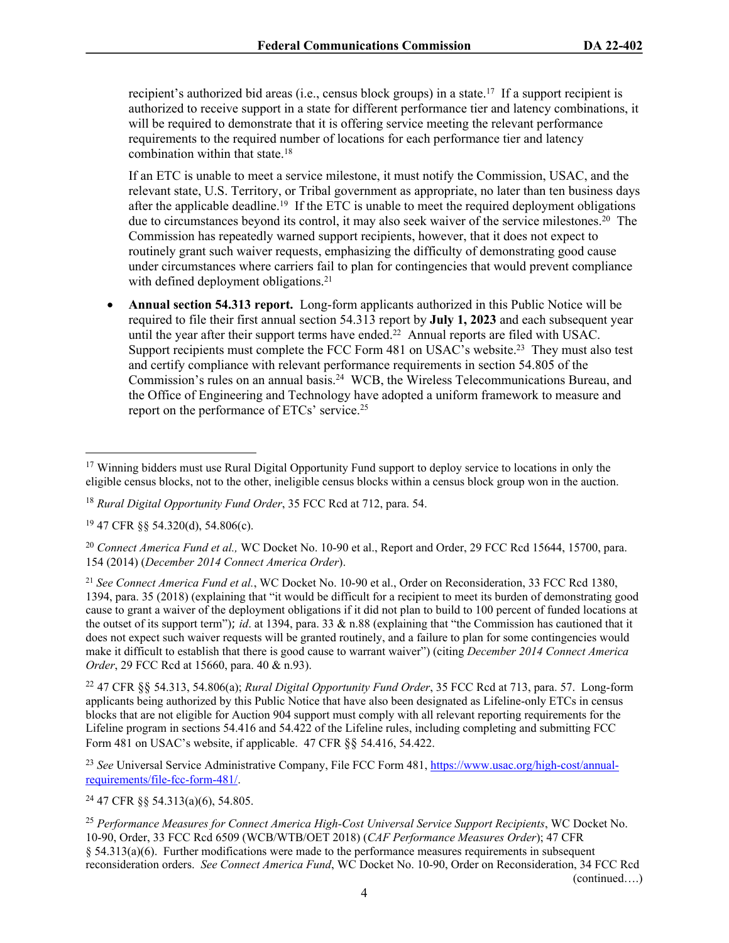recipient's authorized bid areas (i.e., census block groups) in a state.<sup>17</sup> If a support recipient is authorized to receive support in a state for different performance tier and latency combinations, it will be required to demonstrate that it is offering service meeting the relevant performance requirements to the required number of locations for each performance tier and latency combination within that state.<sup>18</sup>

If an ETC is unable to meet a service milestone, it must notify the Commission, USAC, and the relevant state, U.S. Territory, or Tribal government as appropriate, no later than ten business days after the applicable deadline.<sup>19</sup> If the ETC is unable to meet the required deployment obligations due to circumstances beyond its control, it may also seek waiver of the service milestones.<sup>20</sup> The Commission has repeatedly warned support recipients, however, that it does not expect to routinely grant such waiver requests, emphasizing the difficulty of demonstrating good cause under circumstances where carriers fail to plan for contingencies that would prevent compliance with defined deployment obligations.<sup>21</sup>

 **Annual section 54.313 report.** Long-form applicants authorized in this Public Notice will be required to file their first annual section 54.313 report by **July 1, 2023** and each subsequent year until the year after their support terms have ended.<sup>22</sup> Annual reports are filed with USAC. Support recipients must complete the FCC Form 481 on USAC's website.<sup>23</sup> They must also test and certify compliance with relevant performance requirements in section 54.805 of the Commission's rules on an annual basis.<sup>24</sup> WCB, the Wireless Telecommunications Bureau, and the Office of Engineering and Technology have adopted a uniform framework to measure and report on the performance of ETCs' service.<sup>25</sup>

<sup>&</sup>lt;sup>17</sup> Winning bidders must use Rural Digital Opportunity Fund support to deploy service to locations in only the eligible census blocks, not to the other, ineligible census blocks within a census block group won in the auction.

<sup>18</sup> *Rural Digital Opportunity Fund Order*, 35 FCC Rcd at 712, para. 54.

<sup>19</sup> 47 CFR §§ 54.320(d), 54.806(c).

<sup>20</sup> *Connect America Fund et al.,* WC Docket No. 10-90 et al., Report and Order, 29 FCC Rcd 15644, 15700, para. 154 (2014) (*December 2014 Connect America Order*).

<sup>21</sup> *See Connect America Fund et al.*, WC Docket No. 10-90 et al., Order on Reconsideration, 33 FCC Rcd 1380, 1394, para. 35 (2018) (explaining that "it would be difficult for a recipient to meet its burden of demonstrating good cause to grant a waiver of the deployment obligations if it did not plan to build to 100 percent of funded locations at the outset of its support term"); *id*. at 1394, para. 33 & n.88 (explaining that "the Commission has cautioned that it does not expect such waiver requests will be granted routinely, and a failure to plan for some contingencies would make it difficult to establish that there is good cause to warrant waiver") (citing *December 2014 Connect America Order*, 29 FCC Rcd at 15660, para. 40 & n.93).

<sup>22</sup> 47 CFR §§ 54.313, 54.806(a); *Rural Digital Opportunity Fund Order*, 35 FCC Rcd at 713, para. 57. Long-form applicants being authorized by this Public Notice that have also been designated as Lifeline-only ETCs in census blocks that are not eligible for Auction 904 support must comply with all relevant reporting requirements for the Lifeline program in sections 54.416 and 54.422 of the Lifeline rules, including completing and submitting FCC Form 481 on USAC's website, if applicable. 47 CFR §§ 54.416, 54.422.

<sup>&</sup>lt;sup>23</sup> See Universal Service Administrative Company, File FCC Form 481, [https://www.usac.org/high-cost/annual](https://www.usac.org/high-cost/annual-requirements/file-fcc-form-481/)[requirements/file-fcc-form-481/.](https://www.usac.org/high-cost/annual-requirements/file-fcc-form-481/)

<sup>24</sup> 47 CFR §§ 54.313(a)(6), 54.805.

<sup>25</sup> *Performance Measures for Connect America High-Cost Universal Service Support Recipients*, WC Docket No. 10-90, Order, 33 FCC Rcd 6509 (WCB/WTB/OET 2018) (*CAF Performance Measures Order*); 47 CFR § 54.313(a)(6). Further modifications were made to the performance measures requirements in subsequent reconsideration orders. *See Connect America Fund*, WC Docket No. 10-90, Order on Reconsideration, 34 FCC Rcd (continued….)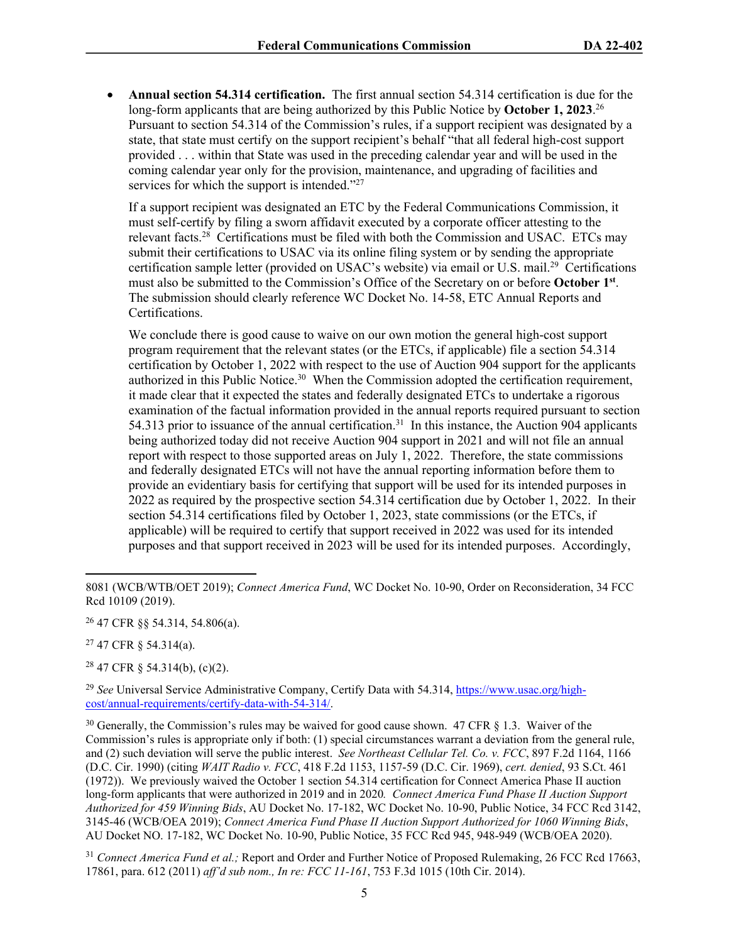**Annual section 54.314 certification.** The first annual section 54.314 certification is due for the long-form applicants that are being authorized by this Public Notice by **October 1, 2023**. 26 Pursuant to section 54.314 of the Commission's rules, if a support recipient was designated by a state, that state must certify on the support recipient's behalf "that all federal high-cost support provided . . . within that State was used in the preceding calendar year and will be used in the coming calendar year only for the provision, maintenance, and upgrading of facilities and services for which the support is intended."<sup>27</sup>

If a support recipient was designated an ETC by the Federal Communications Commission, it must self-certify by filing a sworn affidavit executed by a corporate officer attesting to the relevant facts.<sup>28</sup> Certifications must be filed with both the Commission and USAC. ETCs may submit their certifications to USAC via its online filing system or by sending the appropriate certification sample letter (provided on USAC's website) via email or U.S. mail.<sup>29</sup> Certifications must also be submitted to the Commission's Office of the Secretary on or before **October 1st** . The submission should clearly reference WC Docket No. 14-58, ETC Annual Reports and Certifications.

We conclude there is good cause to waive on our own motion the general high-cost support program requirement that the relevant states (or the ETCs, if applicable) file a section 54.314 certification by October 1, 2022 with respect to the use of Auction 904 support for the applicants authorized in this Public Notice.<sup>30</sup> When the Commission adopted the certification requirement, it made clear that it expected the states and federally designated ETCs to undertake a rigorous examination of the factual information provided in the annual reports required pursuant to section 54.313 prior to issuance of the annual certification.<sup>31</sup> In this instance, the Auction 904 applicants being authorized today did not receive Auction 904 support in 2021 and will not file an annual report with respect to those supported areas on July 1, 2022. Therefore, the state commissions and federally designated ETCs will not have the annual reporting information before them to provide an evidentiary basis for certifying that support will be used for its intended purposes in 2022 as required by the prospective section 54.314 certification due by October 1, 2022. In their section 54.314 certifications filed by October 1, 2023, state commissions (or the ETCs, if applicable) will be required to certify that support received in 2022 was used for its intended purposes and that support received in 2023 will be used for its intended purposes. Accordingly,

<sup>26</sup> 47 CFR §§ 54.314, 54.806(a).

<sup>27</sup> 47 CFR § 54.314(a).

 $28$  47 CFR § 54.314(b), (c)(2).

<sup>29</sup> *See* Universal Service Administrative Company, Certify Data with 54.314, [https://www.usac.org/high](https://www.usac.org/high-cost/annual-requirements/certify-data-with-54-314/)[cost/annual-requirements/certify-data-with-54-314/](https://www.usac.org/high-cost/annual-requirements/certify-data-with-54-314/).

 $30$  Generally, the Commission's rules may be waived for good cause shown. 47 CFR  $\S$  1.3. Waiver of the Commission's rules is appropriate only if both: (1) special circumstances warrant a deviation from the general rule, and (2) such deviation will serve the public interest. *See Northeast Cellular Tel. Co. v. FCC*, 897 F.2d 1164, 1166 (D.C. Cir. 1990) (citing *WAIT Radio v. FCC*, 418 F.2d 1153, 1157-59 (D.C. Cir. 1969), *cert. denied*, 93 S.Ct. 461 (1972)). We previously waived the October 1 section 54.314 certification for Connect America Phase II auction long-form applicants that were authorized in 2019 and in 2020*. Connect America Fund Phase II Auction Support Authorized for 459 Winning Bids*, AU Docket No. 17-182, WC Docket No. 10-90, Public Notice, 34 FCC Rcd 3142, 3145-46 (WCB/OEA 2019); *Connect America Fund Phase II Auction Support Authorized for 1060 Winning Bids*, AU Docket NO. 17-182, WC Docket No. 10-90, Public Notice, 35 FCC Rcd 945, 948-949 (WCB/OEA 2020).

<sup>31</sup> *Connect America Fund et al.;* Report and Order and Further Notice of Proposed Rulemaking, 26 FCC Rcd 17663, 17861, para. 612 (2011) *aff'd sub nom., In re: FCC 11-161*, 753 F.3d 1015 (10th Cir. 2014).

<sup>8081 (</sup>WCB/WTB/OET 2019); *Connect America Fund*, WC Docket No. 10-90, Order on Reconsideration, 34 FCC Rcd 10109 (2019).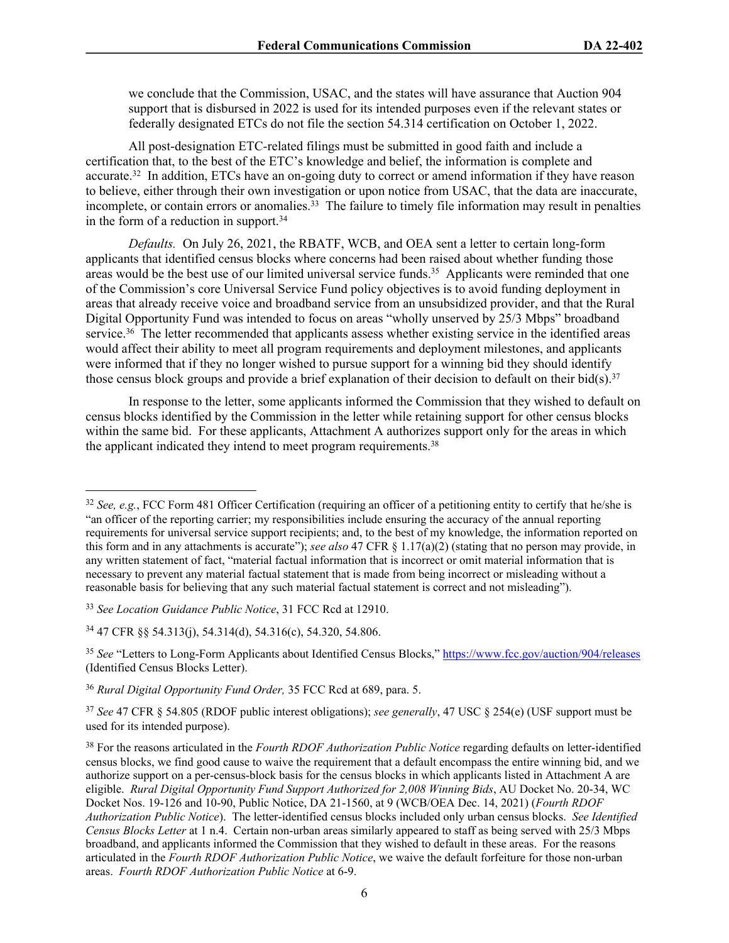we conclude that the Commission, USAC, and the states will have assurance that Auction 904 support that is disbursed in 2022 is used for its intended purposes even if the relevant states or federally designated ETCs do not file the section 54.314 certification on October 1, 2022.

All post-designation ETC-related filings must be submitted in good faith and include a certification that, to the best of the ETC's knowledge and belief, the information is complete and accurate.<sup>32</sup> In addition, ETCs have an on-going duty to correct or amend information if they have reason to believe, either through their own investigation or upon notice from USAC, that the data are inaccurate, incomplete, or contain errors or anomalies.<sup>33</sup> The failure to timely file information may result in penalties in the form of a reduction in support.<sup>34</sup>

*Defaults.* On July 26, 2021, the RBATF, WCB, and OEA sent a letter to certain long-form applicants that identified census blocks where concerns had been raised about whether funding those areas would be the best use of our limited universal service funds.<sup>35</sup> Applicants were reminded that one of the Commission's core Universal Service Fund policy objectives is to avoid funding deployment in areas that already receive voice and broadband service from an unsubsidized provider, and that the Rural Digital Opportunity Fund was intended to focus on areas "wholly unserved by 25/3 Mbps" broadband service.<sup>36</sup> The letter recommended that applicants assess whether existing service in the identified areas would affect their ability to meet all program requirements and deployment milestones, and applicants were informed that if they no longer wished to pursue support for a winning bid they should identify those census block groups and provide a brief explanation of their decision to default on their bid(s).<sup>37</sup>

In response to the letter, some applicants informed the Commission that they wished to default on census blocks identified by the Commission in the letter while retaining support for other census blocks within the same bid. For these applicants, Attachment A authorizes support only for the areas in which the applicant indicated they intend to meet program requirements.<sup>38</sup>

<sup>&</sup>lt;sup>32</sup> *See, e.g.*, FCC Form 481 Officer Certification (requiring an officer of a petitioning entity to certify that he/she is "an officer of the reporting carrier; my responsibilities include ensuring the accuracy of the annual reporting requirements for universal service support recipients; and, to the best of my knowledge, the information reported on this form and in any attachments is accurate"); *see also* 47 CFR § 1.17(a)(2) (stating that no person may provide, in any written statement of fact, "material factual information that is incorrect or omit material information that is necessary to prevent any material factual statement that is made from being incorrect or misleading without a reasonable basis for believing that any such material factual statement is correct and not misleading").

<sup>33</sup> *See Location Guidance Public Notice*, 31 FCC Rcd at 12910.

<sup>34</sup> 47 CFR §§ 54.313(j), 54.314(d), 54.316(c), 54.320, 54.806.

<sup>&</sup>lt;sup>35</sup> See "Letters to Long-Form Applicants about Identified Census Blocks," <https://www.fcc.gov/auction/904/releases> (Identified Census Blocks Letter).

<sup>36</sup> *Rural Digital Opportunity Fund Order,* 35 FCC Rcd at 689, para. 5.

<sup>37</sup> *See* 47 CFR § 54.805 (RDOF public interest obligations); *see generally*, 47 USC § 254(e) (USF support must be used for its intended purpose).

<sup>38</sup> For the reasons articulated in the *Fourth RDOF Authorization Public Notice* regarding defaults on letter-identified census blocks, we find good cause to waive the requirement that a default encompass the entire winning bid, and we authorize support on a per-census-block basis for the census blocks in which applicants listed in Attachment A are eligible. *Rural Digital Opportunity Fund Support Authorized for 2,008 Winning Bids*, AU Docket No. 20-34, WC Docket Nos. 19-126 and 10-90, Public Notice, DA 21-1560, at 9 (WCB/OEA Dec. 14, 2021) (*Fourth RDOF Authorization Public Notice*). The letter-identified census blocks included only urban census blocks. *See Identified Census Blocks Letter* at 1 n.4. Certain non-urban areas similarly appeared to staff as being served with 25/3 Mbps broadband, and applicants informed the Commission that they wished to default in these areas. For the reasons articulated in the *Fourth RDOF Authorization Public Notice*, we waive the default forfeiture for those non-urban areas. *Fourth RDOF Authorization Public Notice* at 6-9.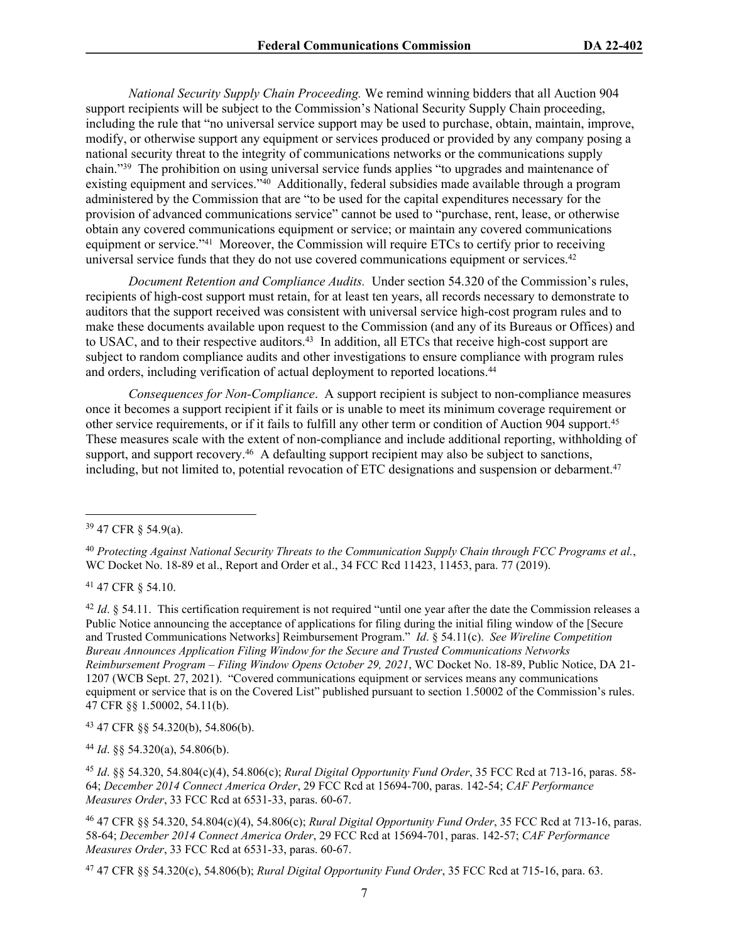*National Security Supply Chain Proceeding.* We remind winning bidders that all Auction 904 support recipients will be subject to the Commission's National Security Supply Chain proceeding, including the rule that "no universal service support may be used to purchase, obtain, maintain, improve, modify, or otherwise support any equipment or services produced or provided by any company posing a national security threat to the integrity of communications networks or the communications supply chain."<sup>39</sup> The prohibition on using universal service funds applies "to upgrades and maintenance of existing equipment and services."<sup>40</sup> Additionally, federal subsidies made available through a program administered by the Commission that are "to be used for the capital expenditures necessary for the provision of advanced communications service" cannot be used to "purchase, rent, lease, or otherwise obtain any covered communications equipment or service; or maintain any covered communications equipment or service."<sup>41</sup> Moreover, the Commission will require ETCs to certify prior to receiving universal service funds that they do not use covered communications equipment or services.<sup>42</sup>

*Document Retention and Compliance Audits.* Under section 54.320 of the Commission's rules, recipients of high-cost support must retain, for at least ten years, all records necessary to demonstrate to auditors that the support received was consistent with universal service high-cost program rules and to make these documents available upon request to the Commission (and any of its Bureaus or Offices) and to USAC, and to their respective auditors.<sup>43</sup> In addition, all ETCs that receive high-cost support are subject to random compliance audits and other investigations to ensure compliance with program rules and orders, including verification of actual deployment to reported locations.<sup>44</sup>

*Consequences for Non-Compliance*. A support recipient is subject to non-compliance measures once it becomes a support recipient if it fails or is unable to meet its minimum coverage requirement or other service requirements, or if it fails to fulfill any other term or condition of Auction 904 support.<sup>45</sup> These measures scale with the extent of non-compliance and include additional reporting, withholding of support, and support recovery.<sup>46</sup> A defaulting support recipient may also be subject to sanctions, including, but not limited to, potential revocation of ETC designations and suspension or debarment.<sup>47</sup>

<sup>41</sup> 47 CFR § 54.10.

<sup>42</sup> *Id.* § 54.11. This certification requirement is not required "until one year after the date the Commission releases a Public Notice announcing the acceptance of applications for filing during the initial filing window of the [Secure and Trusted Communications Networks] Reimbursement Program." *Id*. § 54.11(c). *See Wireline Competition Bureau Announces Application Filing Window for the Secure and Trusted Communications Networks Reimbursement Program – Filing Window Opens October 29, 2021*, WC Docket No. 18-89, Public Notice, DA 21- 1207 (WCB Sept. 27, 2021). "Covered communications equipment or services means any communications equipment or service that is on the Covered List" published pursuant to section 1.50002 of the Commission's rules. 47 CFR §§ 1.50002, 54.11(b).

<sup>43</sup> 47 CFR §§ 54.320(b), 54.806(b).

<sup>44</sup> *Id*. §§ 54.320(a), 54.806(b).

<sup>45</sup> *Id*. §§ 54.320, 54.804(c)(4), 54.806(c); *Rural Digital Opportunity Fund Order*, 35 FCC Rcd at 713-16, paras. 58- 64; *December 2014 Connect America Order*, 29 FCC Rcd at 15694-700, paras. 142-54; *CAF Performance Measures Order*, 33 FCC Rcd at 6531-33, paras. 60-67.

<sup>46</sup> 47 CFR §§ 54.320, 54.804(c)(4), 54.806(c); *Rural Digital Opportunity Fund Order*, 35 FCC Rcd at 713-16, paras. 58-64; *December 2014 Connect America Order*, 29 FCC Rcd at 15694-701, paras. 142-57; *CAF Performance Measures Order*, 33 FCC Rcd at 6531-33, paras. 60-67.

47 47 CFR §§ 54.320(c), 54.806(b); *Rural Digital Opportunity Fund Order*, 35 FCC Rcd at 715-16, para. 63.

<sup>39</sup> 47 CFR § 54.9(a).

<sup>40</sup> *Protecting Against National Security Threats to the Communication Supply Chain through FCC Programs et al.*, WC Docket No. 18-89 et al., Report and Order et al., 34 FCC Rcd 11423, 11453, para. 77 (2019).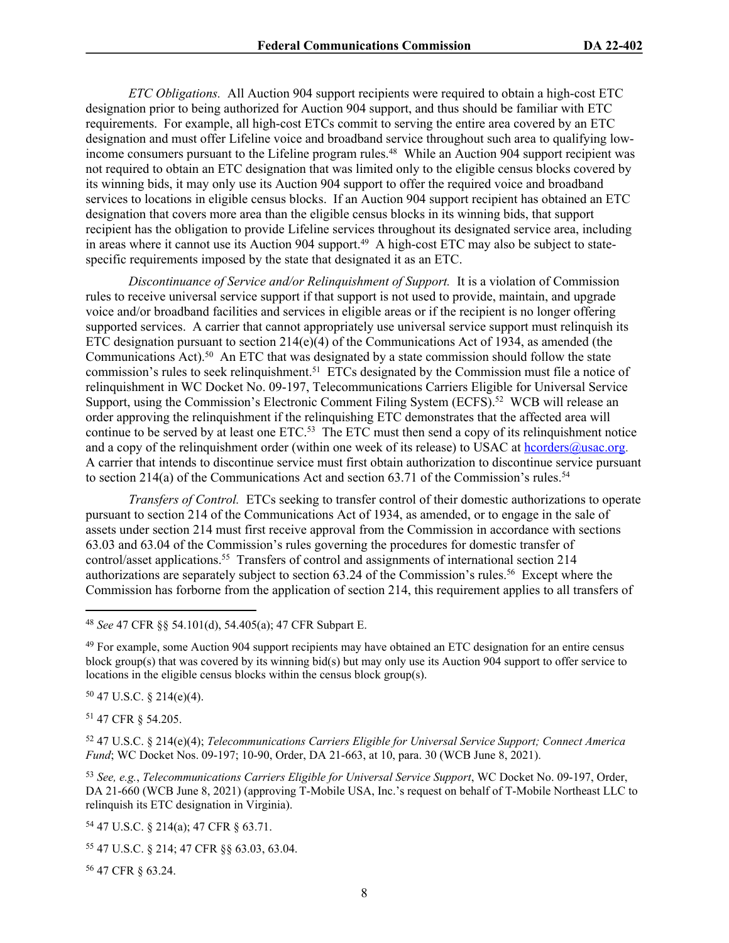*ETC Obligations.* All Auction 904 support recipients were required to obtain a high-cost ETC designation prior to being authorized for Auction 904 support, and thus should be familiar with ETC requirements. For example, all high-cost ETCs commit to serving the entire area covered by an ETC designation and must offer Lifeline voice and broadband service throughout such area to qualifying lowincome consumers pursuant to the Lifeline program rules.<sup>48</sup> While an Auction 904 support recipient was not required to obtain an ETC designation that was limited only to the eligible census blocks covered by its winning bids, it may only use its Auction 904 support to offer the required voice and broadband services to locations in eligible census blocks. If an Auction 904 support recipient has obtained an ETC designation that covers more area than the eligible census blocks in its winning bids, that support recipient has the obligation to provide Lifeline services throughout its designated service area, including in areas where it cannot use its Auction 904 support.<sup>49</sup> A high-cost ETC may also be subject to statespecific requirements imposed by the state that designated it as an ETC.

*Discontinuance of Service and/or Relinquishment of Support.* It is a violation of Commission rules to receive universal service support if that support is not used to provide, maintain, and upgrade voice and/or broadband facilities and services in eligible areas or if the recipient is no longer offering supported services. A carrier that cannot appropriately use universal service support must relinquish its ETC designation pursuant to section  $214(e)(4)$  of the Communications Act of 1934, as amended (the Communications Act).<sup>50</sup> An ETC that was designated by a state commission should follow the state commission's rules to seek relinquishment.<sup>51</sup> ETCs designated by the Commission must file a notice of relinquishment in WC Docket No. 09-197, Telecommunications Carriers Eligible for Universal Service Support, using the Commission's Electronic Comment Filing System (ECFS).<sup>52</sup> WCB will release an order approving the relinquishment if the relinquishing ETC demonstrates that the affected area will continue to be served by at least one ETC.<sup>53</sup> The ETC must then send a copy of its relinquishment notice and a copy of the relinquishment order (within one week of its release) to USAC at [hcorders@usac.org](mailto:hcorders@usac.org). A carrier that intends to discontinue service must first obtain authorization to discontinue service pursuant to section 214(a) of the Communications Act and section 63.71 of the Commission's rules.<sup>54</sup>

*Transfers of Control.* ETCs seeking to transfer control of their domestic authorizations to operate pursuant to section 214 of the Communications Act of 1934, as amended, or to engage in the sale of assets under section 214 must first receive approval from the Commission in accordance with sections 63.03 and 63.04 of the Commission's rules governing the procedures for domestic transfer of control/asset applications.<sup>55</sup> Transfers of control and assignments of international section 214 authorizations are separately subject to section 63.24 of the Commission's rules.<sup>56</sup> Except where the Commission has forborne from the application of section 214, this requirement applies to all transfers of

 $50$  47 U.S.C. § 214(e)(4).

<sup>51</sup> 47 CFR § 54.205.

<sup>52</sup> 47 U.S.C. § 214(e)(4); *Telecommunications Carriers Eligible for Universal Service Support; Connect America Fund*; WC Docket Nos. 09-197; 10-90, Order, DA 21-663, at 10, para. 30 (WCB June 8, 2021).

<sup>53</sup> *See, e.g.*, *Telecommunications Carriers Eligible for Universal Service Support*, WC Docket No. 09-197, Order, DA 21-660 (WCB June 8, 2021) (approving T-Mobile USA, Inc.'s request on behalf of T-Mobile Northeast LLC to relinquish its ETC designation in Virginia).

<sup>54</sup> 47 U.S.C. § 214(a); 47 CFR § 63.71.

<sup>55</sup> 47 U.S.C. § 214; 47 CFR §§ 63.03, 63.04.

56 47 CFR § 63.24.

<sup>48</sup> *See* 47 CFR §§ 54.101(d), 54.405(a); 47 CFR Subpart E.

<sup>49</sup> For example, some Auction 904 support recipients may have obtained an ETC designation for an entire census block group(s) that was covered by its winning bid(s) but may only use its Auction 904 support to offer service to locations in the eligible census blocks within the census block group(s).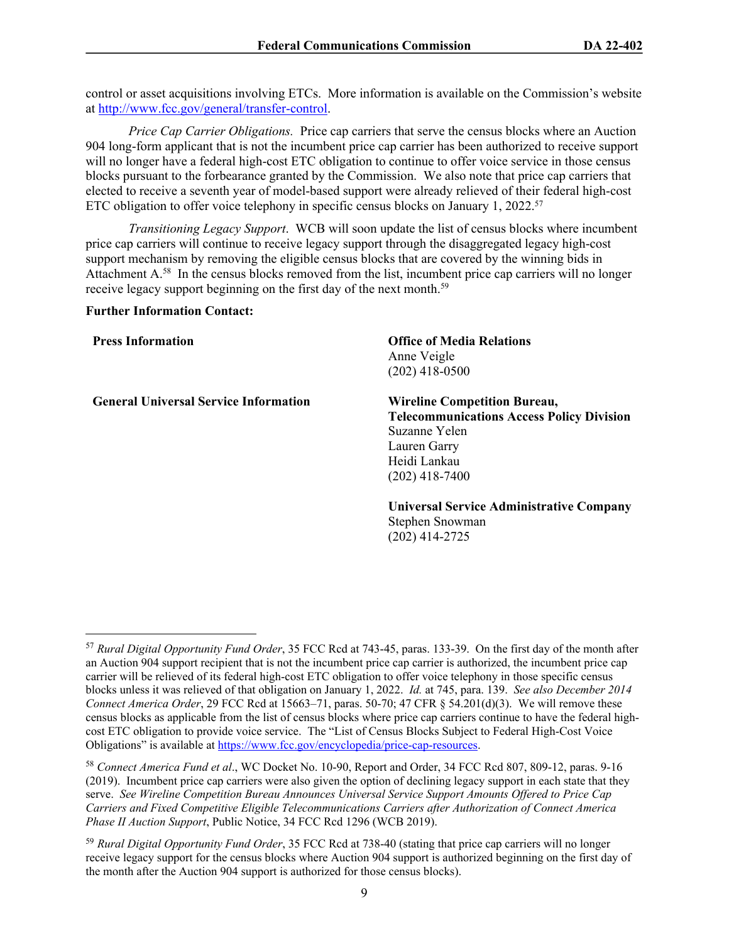control or asset acquisitions involving ETCs. More information is available on the Commission's website at <http://www.fcc.gov/general/transfer-control>.

*Price Cap Carrier Obligations.* Price cap carriers that serve the census blocks where an Auction 904 long-form applicant that is not the incumbent price cap carrier has been authorized to receive support will no longer have a federal high-cost ETC obligation to continue to offer voice service in those census blocks pursuant to the forbearance granted by the Commission. We also note that price cap carriers that elected to receive a seventh year of model-based support were already relieved of their federal high-cost ETC obligation to offer voice telephony in specific census blocks on January 1, 2022.<sup>57</sup>

*Transitioning Legacy Support*. WCB will soon update the list of census blocks where incumbent price cap carriers will continue to receive legacy support through the disaggregated legacy high-cost support mechanism by removing the eligible census blocks that are covered by the winning bids in Attachment A.<sup>58</sup> In the census blocks removed from the list, incumbent price cap carriers will no longer receive legacy support beginning on the first day of the next month.<sup>59</sup>

## **Further Information Contact:**

**General Universal Service Information Wireline Competition Bureau,**

**Press Information Office of Media Relations** Anne Veigle (202) 418-0500

> **Telecommunications Access Policy Division** Suzanne Yelen Lauren Garry Heidi Lankau (202) 418-7400

> **Universal Service Administrative Company** Stephen Snowman (202) 414-2725

<sup>57</sup> *Rural Digital Opportunity Fund Order*, 35 FCC Rcd at 743-45, paras. 133-39. On the first day of the month after an Auction 904 support recipient that is not the incumbent price cap carrier is authorized, the incumbent price cap carrier will be relieved of its federal high-cost ETC obligation to offer voice telephony in those specific census blocks unless it was relieved of that obligation on January 1, 2022. *Id.* at 745, para. 139. *See also December 2014 Connect America Order*, 29 FCC Rcd at 15663–71, paras. 50-70; 47 CFR § 54.201(d)(3). We will remove these census blocks as applicable from the list of census blocks where price cap carriers continue to have the federal highcost ETC obligation to provide voice service. The "List of Census Blocks Subject to Federal High-Cost Voice Obligations" is available at<https://www.fcc.gov/encyclopedia/price-cap-resources>.

<sup>58</sup> *Connect America Fund et al*., WC Docket No. 10-90, Report and Order, 34 FCC Rcd 807, 809-12, paras. 9-16 (2019). Incumbent price cap carriers were also given the option of declining legacy support in each state that they serve. *See Wireline Competition Bureau Announces Universal Service Support Amounts Offered to Price Cap Carriers and Fixed Competitive Eligible Telecommunications Carriers after Authorization of Connect America Phase II Auction Support*, Public Notice, 34 FCC Rcd 1296 (WCB 2019).

<sup>59</sup> *Rural Digital Opportunity Fund Order*, 35 FCC Rcd at 738-40 (stating that price cap carriers will no longer receive legacy support for the census blocks where Auction 904 support is authorized beginning on the first day of the month after the Auction 904 support is authorized for those census blocks).